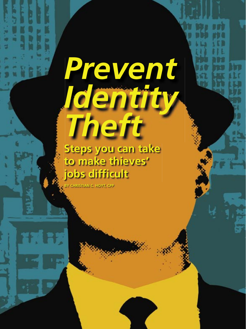# *Prevent Identity Theft*

**Steps you can take to make thieves' jobs difficult**

**BY CHRISTIAN C. HOYT, CPP**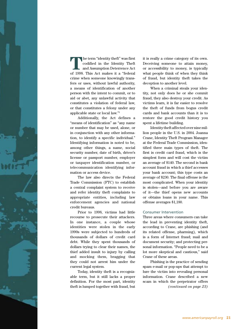

**T**he term "identity theft" was first codified in the Identity Theft and Assumption Deterrence Act of 1998. This Act makes it a "federal crime when someone knowingly transfers or uses, without lawful authority, a means of identification of another person with the intent to commit, or to aid or abet, any unlawful activity that constitutes a violation of federal law, or that constitutes a felony under any applicable state or local law."1

Additionally, the Act defines a "means of identification" as "any name or number that may be used, alone, or in conjunction with any other information, to identify a specific individual." Identifying information is noted to be, among other things, a name, social security number, date of birth, driver's license or passport number, employer or taxpayer identification number, or telecommunication identifying information or access device.

The law also directs the Federal Trade Commission (FTC) to establish a central complaint system to receive and refer identity theft complaints to appropriate entities, including law enforcement agencies and national credit bureaus.

Prior to 1998, victims had little recourse to prosecute their attackers. In one instance, a couple whose identities were stolen in the early 1990s were subjected to hundreds of thousands of dollars of credit card debt. While they spent thousands of dollars trying to clear their names, the thief added insult to injury by calling and mocking them, bragging that they could not arrest him under the current legal system.

Today, identity theft is a recognizable term, but it still lacks a proper definition. For the most part, identity theft is lumped together with fraud, but it is really a crime category of its own. Deceiving someone to attain money, or accessibility to money, is typically what people think of when they think of fraud, but identity theft takes the deception to another level.

When a criminal steals your identity, not only does he or she commit fraud, they also destroy your credit. As victims learn, it is far easier to resolve the theft of funds from bogus credit cards and bank accounts than it is to restore the good credit history you spent a lifetime building.

Identity theft affected over nine million people in the U.S. in 2004. Joanna Crane, Identity Theft Program Manager at the Federal Trade Commission, identified three main types of theft. The first is credit card fraud, which is the simplest form and will cost the victim an average of \$140. The second is bank account fraud in which a thief accesses your bank account; this type costs an average of \$230. The final offense is the most complicated. When your identity is stolen—and before you are aware of it—the thief opens new accounts or obtains loans in your name. This offense averages \$1,180.

#### Consumer Intervention

Three areas where consumers can take the lead in preventing identity theft, according to Crane, are phishing (and its related offense, pharming), which is a form of Internet fraud; mail and document security; and protecting personal information. "People need to be a lot more skeptical and cautious," said Crane of these areas.

Phishing is the practice of sending spam e-mail or pop-ups that attempt to lure the victim into revealing personal information. Crane described a new scam in which the perpetrator offers *(continued on page 23)*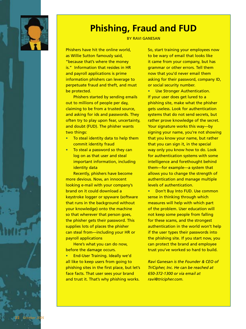

**22** *October 2005*

## **Phishing, Fraud and FUD**

#### BY RAVI GANESAN

Phishers have hit the online world, as Willie Sutton famously said, "because that's where the money is." Information that resides in HR and payroll applications is prime information phishers can leverage to perpetuate fraud and theft, and must be protected.

Phishers started by sending emails out to millions of people per day, claiming to be from a trusted source, and asking for ids and passwords. They often try to play upon fear, uncertainty, and doubt (FUD). The phisher wants two things:

- To steal identity data to help them commit identity fraud
- To steal a password so they can log on as that user and steal important information, including identity data

Recently, phishers have become more devious. Now, an innocent looking e-mail with your company's brand on it could download a keystroke logger or spyware (software that runs in the background without your knowledge) onto the machine so that wherever that person goes, the phisher gets their password. This supplies lots of places the phisher can steal from—including your HR or payroll applications

Here's what you can do now, before the damage occurs.

• End-User Training. Ideally we'd all like to keep users from going to phishing sites in the first place, but let's face facts. That user sees your brand and trust it. That's why phishing works.

So, start training your employees now to be wary of email that looks like it came from your company, but has grammar or other errors. Tell them now that you'd never email them asking for their password, company ID, or social security number.

Use Stronger Authentication. If your user does get lured to a phishing site, make what the phisher gets useless. Look for authentication systems that do not send secrets, but rather prove knowledge of the secret. Your signature works this way—by signing your name, you're not showing that you know your name, but rather that you can sign it, in the special way only you know how to do. Look for authentication systems with some intelligence and forethought behind them—for example—a system that allows you to change the strength of authentication and manage multiple levels of authentication.

• Don't Buy Into FUD. Use common sense in thinking through which measures will help with which part of the problem. User education will not keep some people from falling for these scams, and the strongest authentication in the world won't help if the user types their passwords into the phishing site. If you start now, you can protect the brand and employee trust you've worked so hard to build.

*Ravi Ganesan is the Founder & CEO of TriCipher, Inc. He can be reached at 650-372-1300 or via email at ravi@tricipher.com.*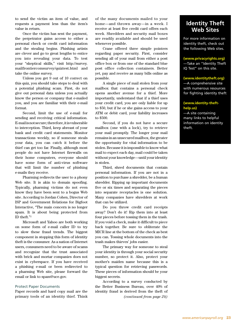to send the victim an item of value, and requests a payment less than the item's value in return.

Once the victim has sent the payment, the perpetrator gains access to either a personal check or credit card information and the stealing begins. Phishing artists are clever and go to great lengths to entice you into revealing your data. To test your "skeptical skills," visit http://survey. mailfrontiercomsurvey/quiztest.html and take the online survey.

Unless you get 9 out of 10 correct on this quiz, you should take steps to deal with a potential phishing scam. First, do not give out personal data unless you actually know the person or company that e-mailed you, and you are familiar with their e-mail format.

Second, limit the use of e-mail for sending and receiving critical information. E-mail is not secure; therefore, it is vulnerable to interception. Third, keep abreast of your bank and credit card statements. Monitor transactions weekly, so if someone steals your data, you can catch it before the thief can get too far. Finally, although most people do not have Internet firewalls on their home computers, everyone should have some form of anti-virus software that will limit the number of phishing e-mails they receive.

Pharming redirects the user to a phony Web site. It is akin to domain spoofing. Typically, pharming victims do not even know they have been sent to a bogus Web site. According to Jordan Cohen, Director of ISP and Government Relations for Bigfoot Interactive, "The main concern is no longer spam. It is about being protected from ID theft."2

Microsoft and Yahoo are both working on some form of e-mail caller ID to try to slow these fraud trends. The biggest component in stopping this form of identity theft is the consumer. As a nation of Internet users, consumers need to be aware of scams and recognize that the trust associated with brick and mortar companies does not exist in cyberspace. If you have received a phishing e-mail or been redirected to a pharming Web site, please forward the email or link to spam@uce.gov.

#### Protect Paper Documents

Paper records and hard copy mail are the primary tools of an identity thief. Think of the many documents mailed to your home—and thrown away—in a week. I receive at least five credit card offers each week. Shredders and security mail boxes are readily available and should be used whenever possible.

Crane offered three simple pointers regarding paper security. First, consider sending all of your mail from either a post office box or from one of the standard blue post office collection containers. Better yet, pay and receive as many bills online as possible.

A single piece of mail stolen from your mailbox that contains a personal check opens another avenue for a thief. More importantly, understand that if a thief uses your credit card, you are only liable for up to \$50, but if he or she gains access to your ATM or debit card, your liability increases to \$500.

Second, if you do not have a secure mailbox (one with a lock), try to retrieve your mail promptly. The longer your mail remains in an unsecured mailbox, the greater the opportunity for vital information to be stolen. Because it is impossible to know what mail to expect each day, mail could be taken without your knowledge—until your identity is stolen.

Third, shred documents that contain personal information. If you are not in a position to purchase a shredder, be a human shredder. Ripping up important documents five or six times and separating the pieces into separate receptacles is one solution. Many companies have shredders at work that can be utilized.

Do you throw credit card receipts away? Don't do it! Rip them into at least four pieces before tossing them in the trash. If you void a check, make it difficult to piece back together. Be sure to obliterate the MICR line at the bottom of the check as best you can. Tossing whole documents into the trash makes thieves' jobs easier.

The primary way for someone to steal your identity is through your social security number, so protect it. Also, protect your mother's maiden name because this is a typical question for retrieving passwords. These pieces of information should be your biggest secrets.

According to a survey conducted by the Better Business Bureau, over 40% of identity fraud is derived from the theft of *(continued from page 24)*

### **Identity Theft Web Sites**

For more information on identity theft, check out the following Web sites.

#### **(www.privacyrights.org)**

—Take an "Identity Theft IQ Test" on this site.

#### **(www.identitytheft.org)**

—A comprehensive site with numerous resources for fighting identity theft

#### **(www.identity-thefthelp.us)**

—A site containing many links to helpful information on identity theft.